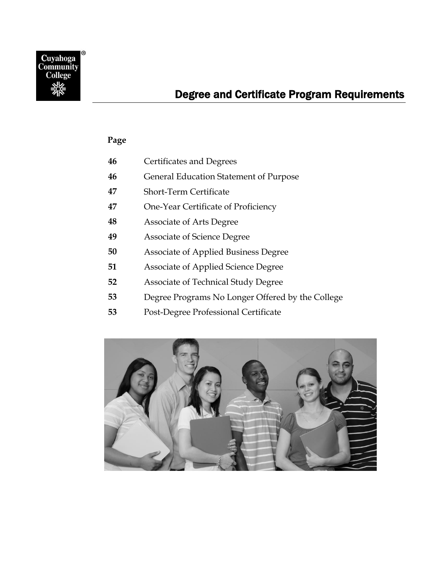

### **Page**

| <b>Certificates and Degrees</b><br>46 |  |
|---------------------------------------|--|
|---------------------------------------|--|

- [General Education Statement of Purpose](#page-1-1)
- [Short-Term Certificate](#page-2-0)
- [One-Year Certificate of Proficiency](#page-2-1)
- [Associate of Arts Degree](#page-3-0)
- [Associate of Science Degree](#page-4-0)
- [Associate of Applied Business Degree](#page-5-0)
- [Associate of Applied Science Degree](#page-6-0)
- [Associate of Technical Study Degree](#page-7-0)
- [Degree Programs No Longer Offered by the College](#page-8-0)
- [Post-Degree Professional Certificate](#page-8-1)

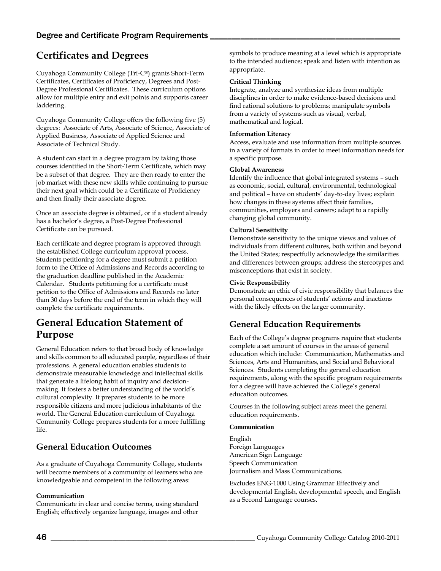## <span id="page-1-0"></span>**Certificates and Degrees**

Cuyahoga Community College (Tri-C®) grants Short-Term Certificates, Certificates of Proficiency, Degrees and Post-Degree Professional Certificates. These curriculum options allow for multiple entry and exit points and supports career laddering.

Cuyahoga Community College offers the following five (5) degrees: Associate of Arts, Associate of Science, Associate of Applied Business, Associate of Applied Science and Associate of Technical Study.

A student can start in a degree program by taking those courses identified in the Short-Term Certificate, which may be a subset of that degree. They are then ready to enter the job market with these new skills while continuing to pursue their next goal which could be a Certificate of Proficiency and then finally their associate degree.

Once an associate degree is obtained, or if a student already has a bachelor's degree, a Post-Degree Professional Certificate can be pursued.

Each certificate and degree program is approved through the established College curriculum approval process. Students petitioning for a degree must submit a petition form to the Office of Admissions and Records according to the graduation deadline published in the Academic Calendar. Students petitioning for a certificate must petition to the Office of Admissions and Records no later than 30 days before the end of the term in which they will complete the certificate requirements.

## <span id="page-1-1"></span>**General Education Statement of Purpose**

General Education refers to that broad body of knowledge and skills common to all educated people, regardless of their professions. A general education enables students to demonstrate measurable knowledge and intellectual skills that generate a lifelong habit of inquiry and decisionmaking. It fosters a better understanding of the world's cultural complexity. It prepares students to be more responsible citizens and more judicious inhabitants of the world. The General Education curriculum of Cuyahoga Community College prepares students for a more fulfilling life.

### **General Education Outcomes**

As a graduate of Cuyahoga Community College, students will become members of a community of learners who are knowledgeable and competent in the following areas:

### **Communication**

Communicate in clear and concise terms, using standard English; effectively organize language, images and other symbols to produce meaning at a level which is appropriate to the intended audience; speak and listen with intention as appropriate.

### **Critical Thinking**

Integrate, analyze and synthesize ideas from multiple disciplines in order to make evidence-based decisions and find rational solutions to problems; manipulate symbols from a variety of systems such as visual, verbal, mathematical and logical.

### **Information Literacy**

Access, evaluate and use information from multiple sources in a variety of formats in order to meet information needs for a specific purpose.

#### **Global Awareness**

Identify the influence that global integrated systems – such as economic, social, cultural, environmental, technological and political – have on students' day-to-day lives; explain how changes in these systems affect their families, communities, employers and careers; adapt to a rapidly changing global community.

### **Cultural Sensitivity**

Demonstrate sensitivity to the unique views and values of individuals from different cultures, both within and beyond the United States; respectfully acknowledge the similarities and differences between groups; address the stereotypes and misconceptions that exist in society.

### **Civic Responsibility**

Demonstrate an ethic of civic responsibility that balances the personal consequences of students' actions and inactions with the likely effects on the larger community.

### **General Education Requirements**

Each of the College's degree programs require that students complete a set amount of courses in the areas of general education which include: Communication, Mathematics and Sciences, Arts and Humanities, and Social and Behavioral Sciences. Students completing the general education requirements, along with the specific program requirements for a degree will have achieved the College's general education outcomes.

Courses in the following subject areas meet the general education requirements.

### **Communication**

English Foreign Languages American Sign Language Speech Communication Journalism and Mass Communications.

Excludes ENG-1000 Using Grammar Effectively and developmental English, developmental speech, and English as a Second Language courses.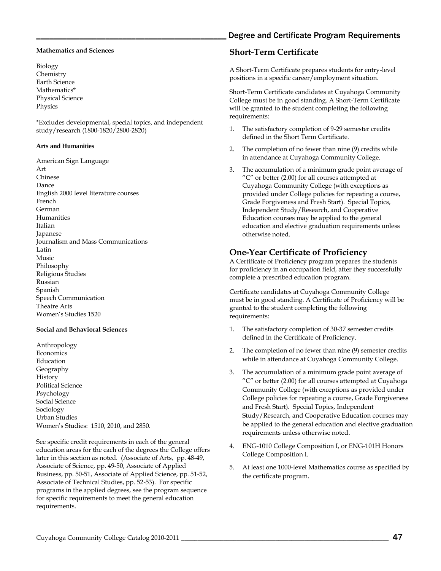#### **Mathematics and Sciences**

Biology **Chemistry** Earth Science Mathematics\* Physical Science Physics

\*Excludes developmental, special topics, and independent study/research (1800-1820/2800-2820)

#### **Arts and Humanities**

American Sign Language Art Chinese Dance English 2000 level literature courses French German Humanities Italian Japanese Journalism and Mass Communications Latin Music Philosophy Religious Studies Russian Spanish Speech Communication Theatre Arts Women's Studies 1520

#### **Social and Behavioral Sciences**

Anthropology **Economics** Education Geography History Political Science Psychology Social Science Sociology Urban Studies Women's Studies: 1510, 2010, and 2850.

See specific credit requirements in each of the general education areas for the each of the degrees the College offers later in this section as noted. (Associate of Arts, pp. 48-49, Associate of Science, pp. 49-50, Associate of Applied Business, pp. 50-51, Associate of Applied Science, pp. 51-52, Associate of Technical Studies, pp. 52-53). For specific programs in the applied degrees, see the program sequence for specific requirements to meet the general education requirements.

### Degree and Certificate Program Requirements

### <span id="page-2-0"></span>**Short-Term Certificate**

A Short-Term Certificate prepares students for entry-level positions in a specific career/employment situation.

Short-Term Certificate candidates at Cuyahoga Community College must be in good standing. A Short-Term Certificate will be granted to the student completing the following requirements:

- 1. The satisfactory completion of 9-29 semester credits defined in the Short Term Certificate.
- 2. The completion of no fewer than nine (9) credits while in attendance at Cuyahoga Community College.
- 3. The accumulation of a minimum grade point average of "C" or better (2.00) for all courses attempted at Cuyahoga Community College (with exceptions as provided under College policies for repeating a course, Grade Forgiveness and Fresh Start). Special Topics, Independent Study/Research, and Cooperative Education courses may be applied to the general education and elective graduation requirements unless otherwise noted.

### <span id="page-2-1"></span>**One-Year Certificate of Proficiency**

A Certificate of Proficiency program prepares the students for proficiency in an occupation field, after they successfully complete a prescribed education program.

Certificate candidates at Cuyahoga Community College must be in good standing. A Certificate of Proficiency will be granted to the student completing the following requirements:

- 1. The satisfactory completion of 30-37 semester credits defined in the Certificate of Proficiency.
- 2. The completion of no fewer than nine (9) semester credits while in attendance at Cuyahoga Community College.
- 3. The accumulation of a minimum grade point average of "C" or better (2.00) for all courses attempted at Cuyahoga Community College (with exceptions as provided under College policies for repeating a course, Grade Forgiveness and Fresh Start). Special Topics, Independent Study/Research, and Cooperative Education courses may be applied to the general education and elective graduation requirements unless otherwise noted.
- 4. ENG-1010 College Composition I, or ENG-101H Honors College Composition I.
- 5. At least one 1000-level Mathematics course as specified by the certificate program.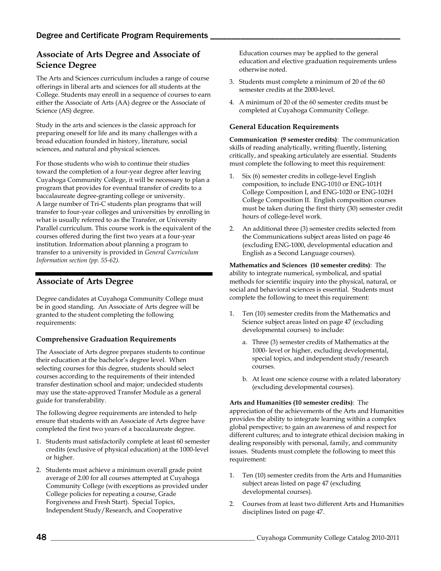### **Associate of Arts Degree and Associate of Science Degree**

The Arts and Sciences curriculum includes a range of course offerings in liberal arts and sciences for all students at the College. Students may enroll in a sequence of courses to earn either the Associate of Arts (AA) degree or the Associate of Science (AS) degree.

Study in the arts and sciences is the classic approach for preparing oneself for life and its many challenges with a broad education founded in history, literature, social sciences, and natural and physical sciences.

For those students who wish to continue their studies toward the completion of a four-year degree after leaving Cuyahoga Community College, it will be necessary to plan a program that provides for eventual transfer of credits to a baccalaureate degree-granting college or university. A large number of Tri-C students plan programs that will transfer to four-year colleges and universities by enrolling in what is usually referred to as the Transfer, or University Parallel curriculum. This course work is the equivalent of the courses offered during the first two years at a four-year institution. Information about planning a program to transfer to a university is provided in *General Curriculum Information section (pp. 55-62).*

### <span id="page-3-0"></span>**Associate of Arts Degree**

Degree candidates at Cuyahoga Community College must be in good standing. An Associate of Arts degree will be granted to the student completing the following requirements:

### **Comprehensive Graduation Requirements**

The Associate of Arts degree prepares students to continue their education at the bachelor's degree level. When selecting courses for this degree, students should select courses according to the requirements of their intended transfer destination school and major; undecided students may use the state-approved Transfer Module as a general guide for transferability.

The following degree requirements are intended to help ensure that students with an Associate of Arts degree have completed the first two years of a baccalaureate degree.

- 1. Students must satisfactorily complete at least 60 semester credits (exclusive of physical education) at the 1000-level or higher.
- 2. Students must achieve a minimum overall grade point average of 2.00 for all courses attempted at Cuyahoga Community College (with exceptions as provided under College policies for repeating a course, Grade Forgiveness and Fresh Start). Special Topics, Independent Study/Research, and Cooperative

Education courses may be applied to the general education and elective graduation requirements unless otherwise noted.

- 3. Students must complete a minimum of 20 of the 60 semester credits at the 2000-level.
- 4. A minimum of 20 of the 60 semester credits must be completed at Cuyahoga Community College.

### **General Education Requirements**

**Communication (9 semester credits)**: The communication skills of reading analytically, writing fluently, listening critically, and speaking articulately are essential. Students must complete the following to meet this requirement:

- 1. Six (6) semester credits in college-level English composition, to include ENG-1010 or ENG-101H College Composition I, and ENG-1020 or ENG-102H College Composition II. English composition courses must be taken during the first thirty (30) semester credit hours of college-level work.
- 2. An additional three (3) semester credits selected from the Communications subject areas listed on page 46 (excluding ENG-1000, developmental education and English as a Second Language courses).

**Mathematics and Sciences (10 semester credits)**: The ability to integrate numerical, symbolical, and spatial methods for scientific inquiry into the physical, natural, or social and behavioral sciences is essential. Students must complete the following to meet this requirement:

- 1. Ten (10) semester credits from the Mathematics and Science subject areas listed on page 47 (excluding developmental courses) to include:
	- a. Three (3) semester credits of Mathematics at the 1000- level or higher, excluding developmental, special topics, and independent study/research courses.
	- b. At least one science course with a related laboratory (excluding developmental courses).

### **Arts and Humanities (10 semester credits)**: The

appreciation of the achievements of the Arts and Humanities provides the ability to integrate learning within a complex global perspective; to gain an awareness of and respect for different cultures; and to integrate ethical decision making in dealing responsibly with personal, family, and community issues. Students must complete the following to meet this requirement:

- 1. Ten (10) semester credits from the Arts and Humanities subject areas listed on page 47 (excluding developmental courses).
- 2. Courses from at least two different Arts and Humanities disciplines listed on page 47.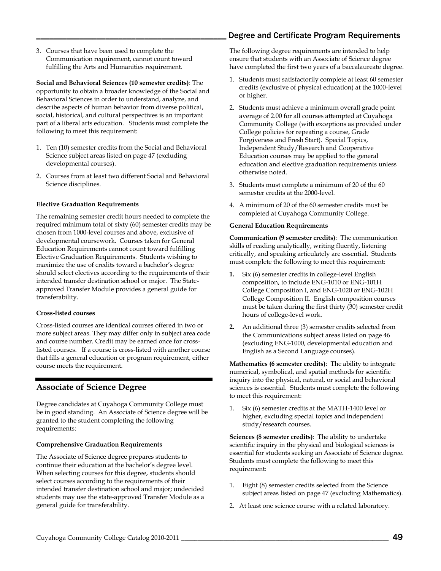3. Courses that have been used to complete the Communication requirement, cannot count toward fulfilling the Arts and Humanities requirement.

**Social and Behavioral Sciences (10 semester credits)**: The opportunity to obtain a broader knowledge of the Social and Behavioral Sciences in order to understand, analyze, and describe aspects of human behavior from diverse political, social, historical, and cultural perspectives is an important part of a liberal arts education. Students must complete the following to meet this requirement:

- 1. Ten (10) semester credits from the Social and Behavioral Science subject areas listed on page 47 (excluding developmental courses).
- 2. Courses from at least two different Social and Behavioral Science disciplines.

### **Elective Graduation Requirements**

The remaining semester credit hours needed to complete the required minimum total of sixty (60) semester credits may be chosen from 1000-level courses and above, exclusive of developmental coursework. Courses taken for General Education Requirements cannot count toward fulfilling Elective Graduation Requirements. Students wishing to maximize the use of credits toward a bachelor's degree should select electives according to the requirements of their intended transfer destination school or major. The Stateapproved Transfer Module provides a general guide for transferability.

### **Cross-listed courses**

Cross-listed courses are identical courses offered in two or more subject areas. They may differ only in subject area code and course number. Credit may be earned once for crosslisted courses. If a course is cross-listed with another course that fills a general education or program requirement, either course meets the requirement.

### <span id="page-4-0"></span>**Associate of Science Degree**

Degree candidates at Cuyahoga Community College must be in good standing. An Associate of Science degree will be granted to the student completing the following requirements:

### **Comprehensive Graduation Requirements**

The Associate of Science degree prepares students to continue their education at the bachelor's degree level. When selecting courses for this degree, students should select courses according to the requirements of their intended transfer destination school and major; undecided students may use the state-approved Transfer Module as a general guide for transferability.

The following degree requirements are intended to help ensure that students with an Associate of Science degree have completed the first two years of a baccalaureate degree.

- 1. Students must satisfactorily complete at least 60 semester credits (exclusive of physical education) at the 1000-level or higher.
- 2. Students must achieve a minimum overall grade point average of 2.00 for all courses attempted at Cuyahoga Community College (with exceptions as provided under College policies for repeating a course, Grade Forgiveness and Fresh Start). Special Topics, Independent Study/Research and Cooperative Education courses may be applied to the general education and elective graduation requirements unless otherwise noted.
- 3. Students must complete a minimum of 20 of the 60 semester credits at the 2000-level.
- 4. A minimum of 20 of the 60 semester credits must be completed at Cuyahoga Community College.

### **General Education Requirements**

**Communication (9 semester credits)**: The communication skills of reading analytically, writing fluently, listening critically, and speaking articulately are essential. Students must complete the following to meet this requirement:

- **1.** Six (6) semester credits in college-level English composition, to include ENG-1010 or ENG-101H College Composition I, and ENG-1020 or ENG-102H College Composition II. English composition courses must be taken during the first thirty (30) semester credit hours of college-level work.
- **2.** An additional three (3) semester credits selected from the Communications subject areas listed on page 46 (excluding ENG-1000, developmental education and English as a Second Language courses).

**Mathematics (6 semester credits)**: The ability to integrate numerical, symbolical, and spatial methods for scientific inquiry into the physical, natural, or social and behavioral sciences is essential. Students must complete the following to meet this requirement:

1. Six (6) semester credits at the MATH-1400 level or higher, excluding special topics and independent study/research courses.

**Sciences (8 semester credits)**: The ability to undertake scientific inquiry in the physical and biological sciences is essential for students seeking an Associate of Science degree. Students must complete the following to meet this requirement:

- 1. Eight (8) semester credits selected from the Science subject areas listed on page 47 (excluding Mathematics).
- 2. At least one science course with a related laboratory.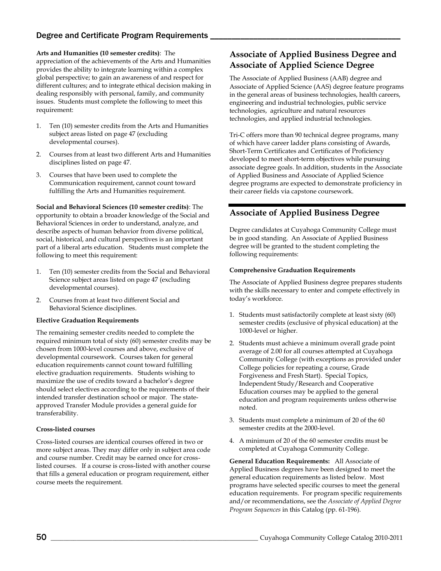**Arts and Humanities (10 semester credits)**: The appreciation of the achievements of the Arts and Humanities provides the ability to integrate learning within a complex global perspective; to gain an awareness of and respect for different cultures; and to integrate ethical decision making in dealing responsibly with personal, family, and community issues. Students must complete the following to meet this requirement:

- 1. Ten (10) semester credits from the Arts and Humanities subject areas listed on page 47 (excluding developmental courses).
- 2. Courses from at least two different Arts and Humanities disciplines listed on page 47.
- 3. Courses that have been used to complete the Communication requirement, cannot count toward fulfilling the Arts and Humanities requirement.

**Social and Behavioral Sciences (10 semester credits)**: The opportunity to obtain a broader knowledge of the Social and Behavioral Sciences in order to understand, analyze, and describe aspects of human behavior from diverse political, social, historical, and cultural perspectives is an important part of a liberal arts education. Students must complete the following to meet this requirement:

- 1. Ten (10) semester credits from the Social and Behavioral Science subject areas listed on page 47 (excluding developmental courses).
- 2. Courses from at least two different Social and Behavioral Science disciplines.

### **Elective Graduation Requirements**

The remaining semester credits needed to complete the required minimum total of sixty (60) semester credits may be chosen from 1000-level courses and above, exclusive of developmental coursework. Courses taken for general education requirements cannot count toward fulfilling elective graduation requirements. Students wishing to maximize the use of credits toward a bachelor's degree should select electives according to the requirements of their intended transfer destination school or major. The stateapproved Transfer Module provides a general guide for transferability.

### **Cross-listed courses**

Cross-listed courses are identical courses offered in two or more subject areas. They may differ only in subject area code and course number. Credit may be earned once for crosslisted courses. If a course is cross-listed with another course that fills a general education or program requirement, either course meets the requirement.

### **Associate of Applied Business Degree and Associate of Applied Science Degree**

The Associate of Applied Business (AAB) degree and Associate of Applied Science (AAS) degree feature programs in the general areas of business technologies, health careers, engineering and industrial technologies, public service technologies, agriculture and natural resources technologies, and applied industrial technologies.

Tri-C offers more than 90 technical degree programs, many of which have career ladder plans consisting of Awards, Short-Term Certificates and Certificates of Proficiency developed to meet short-term objectives while pursuing associate degree goals. In addition, students in the Associate of Applied Business and Associate of Applied Science degree programs are expected to demonstrate proficiency in their career fields via capstone coursework.

### <span id="page-5-0"></span>**Associate of Applied Business Degree**

Degree candidates at Cuyahoga Community College must be in good standing. An Associate of Applied Business degree will be granted to the student completing the following requirements:

### **Comprehensive Graduation Requirements**

The Associate of Applied Business degree prepares students with the skills necessary to enter and compete effectively in today's workforce.

- 1. Students must satisfactorily complete at least sixty (60) semester credits (exclusive of physical education) at the 1000-level or higher.
- 2. Students must achieve a minimum overall grade point average of 2.00 for all courses attempted at Cuyahoga Community College (with exceptions as provided under College policies for repeating a course, Grade Forgiveness and Fresh Start). Special Topics, Independent Study/Research and Cooperative Education courses may be applied to the general education and program requirements unless otherwise noted.
- 3. Students must complete a minimum of 20 of the 60 semester credits at the 2000-level.
- 4. A minimum of 20 of the 60 semester credits must be completed at Cuyahoga Community College.

**General Education Requirements:** All Associate of Applied Business degrees have been designed to meet the general education requirements as listed below. Most programs have selected specific courses to meet the general education requirements. For program specific requirements and/or recommendations, see the *Associate of Applied Degree Program Sequences* in this Catalog (pp. 61-196).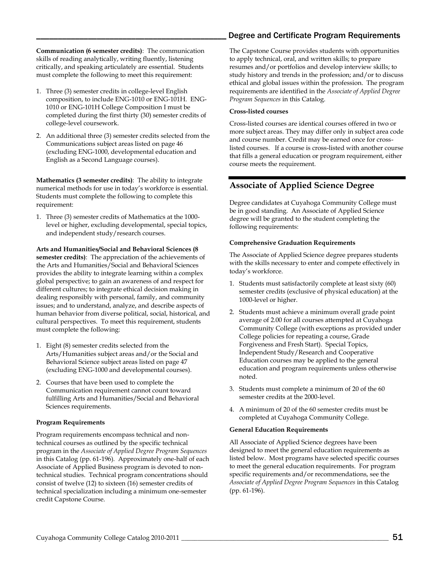**Communication (6 semester credits)**: The communication skills of reading analytically, writing fluently, listening critically, and speaking articulately are essential. Students must complete the following to meet this requirement:

- 1. Three (3) semester credits in college-level English composition, to include ENG-1010 or ENG-101H. ENG-1010 or ENG-101H College Composition I must be completed during the first thirty (30) semester credits of college-level coursework.
- 2. An additional three (3) semester credits selected from the Communications subject areas listed on page 46 (excluding ENG-1000, developmental education and English as a Second Language courses).

**Mathematics (3 semester credits)**: The ability to integrate numerical methods for use in today's workforce is essential. Students must complete the following to complete this requirement:

1. Three (3) semester credits of Mathematics at the 1000 level or higher, excluding developmental, special topics, and independent study/research courses.

**Arts and Humanities/Social and Behavioral Sciences (8 semester credits)**: The appreciation of the achievements of the Arts and Humanities/Social and Behavioral Sciences provides the ability to integrate learning within a complex global perspective; to gain an awareness of and respect for different cultures; to integrate ethical decision making in dealing responsibly with personal, family, and community issues; and to understand, analyze, and describe aspects of human behavior from diverse political, social, historical, and cultural perspectives. To meet this requirement, students must complete the following:

- 1. Eight (8) semester credits selected from the Arts/Humanities subject areas and/or the Social and Behavioral Science subject areas listed on page 47 (excluding ENG-1000 and developmental courses).
- 2. Courses that have been used to complete the Communication requirement cannot count toward fulfilling Arts and Humanities/Social and Behavioral Sciences requirements.

### **Program Requirements**

Program requirements encompass technical and nontechnical courses as outlined by the specific technical program in the *Associate of Applied Degree Program Sequences* in this Catalog (pp. 61-196). Approximately one-half of each Associate of Applied Business program is devoted to nontechnical studies. Technical program concentrations should consist of twelve (12) to sixteen (16) semester credits of technical specialization including a minimum one-semester credit Capstone Course.

The Capstone Course provides students with opportunities to apply technical, oral, and written skills; to prepare resumes and/or portfolios and develop interview skills; to study history and trends in the profession; and/or to discuss ethical and global issues within the profession. The program requirements are identified in the *Associate of Applied Degree Program Sequences* in this Catalog.

#### **Cross-listed courses**

Cross-listed courses are identical courses offered in two or more subject areas. They may differ only in subject area code and course number. Credit may be earned once for crosslisted courses. If a course is cross-listed with another course that fills a general education or program requirement, either course meets the requirement.

### <span id="page-6-0"></span>**Associate of Applied Science Degree**

Degree candidates at Cuyahoga Community College must be in good standing. An Associate of Applied Science degree will be granted to the student completing the following requirements:

#### **Comprehensive Graduation Requirements**

The Associate of Applied Science degree prepares students with the skills necessary to enter and compete effectively in today's workforce.

- 1. Students must satisfactorily complete at least sixty (60) semester credits (exclusive of physical education) at the 1000-level or higher.
- 2. Students must achieve a minimum overall grade point average of 2.00 for all courses attempted at Cuyahoga Community College (with exceptions as provided under College policies for repeating a course, Grade Forgiveness and Fresh Start). Special Topics, Independent Study/Research and Cooperative Education courses may be applied to the general education and program requirements unless otherwise noted.
- 3. Students must complete a minimum of 20 of the 60 semester credits at the 2000-level.
- 4. A minimum of 20 of the 60 semester credits must be completed at Cuyahoga Community College.

#### **General Education Requirements**

All Associate of Applied Science degrees have been designed to meet the general education requirements as listed below. Most programs have selected specific courses to meet the general education requirements. For program specific requirements and/or recommendations, see the *Associate of Applied Degree Program Sequences* in this Catalog (pp. 61-196).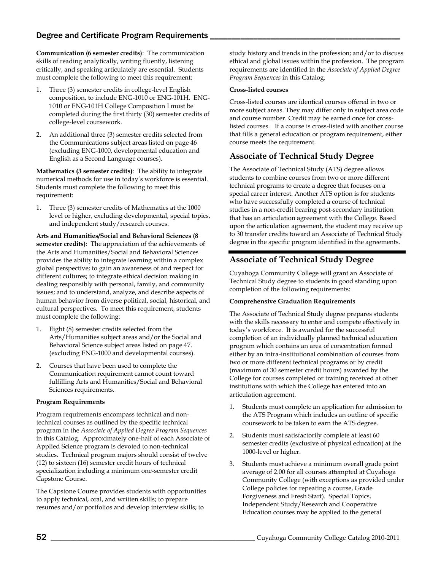**Communication (6 semester credits)**: The communication skills of reading analytically, writing fluently, listening critically, and speaking articulately are essential. Students must complete the following to meet this requirement:

- 1. Three (3) semester credits in college-level English composition, to include ENG-1010 or ENG-101H. ENG-1010 or ENG-101H College Composition I must be completed during the first thirty (30) semester credits of college-level coursework.
- 2. An additional three (3) semester credits selected from the Communications subject areas listed on page 46 (excluding ENG-1000, developmental education and English as a Second Language courses).

**Mathematics (3 semester credits)**: The ability to integrate numerical methods for use in today's workforce is essential. Students must complete the following to meet this requirement:

1. Three (3) semester credits of Mathematics at the 1000 level or higher, excluding developmental, special topics, and independent study/research courses.

**Arts and Humanities/Social and Behavioral Sciences (8 semester credits)**: The appreciation of the achievements of the Arts and Humanities/Social and Behavioral Sciences provides the ability to integrate learning within a complex global perspective; to gain an awareness of and respect for different cultures; to integrate ethical decision making in dealing responsibly with personal, family, and community issues; and to understand, analyze, and describe aspects of human behavior from diverse political, social, historical, and cultural perspectives. To meet this requirement, students must complete the following:

- 1. Eight (8) semester credits selected from the Arts/Humanities subject areas and/or the Social and Behavioral Science subject areas listed on page 47. (excluding ENG-1000 and developmental courses).
- 2. Courses that have been used to complete the Communication requirement cannot count toward fulfilling Arts and Humanities/Social and Behavioral Sciences requirements.

### **Program Requirements**

Program requirements encompass technical and nontechnical courses as outlined by the specific technical program in the *Associate of Applied Degree Program Sequences* in this Catalog. Approximately one-half of each Associate of Applied Science program is devoted to non-technical studies. Technical program majors should consist of twelve (12) to sixteen (16) semester credit hours of technical specialization including a minimum one-semester credit Capstone Course.

The Capstone Course provides students with opportunities to apply technical, oral, and written skills; to prepare resumes and/or portfolios and develop interview skills; to

study history and trends in the profession; and/or to discuss ethical and global issues within the profession. The program requirements are identified in the *Associate of Applied Degree Program Sequences* in this Catalog.

#### **Cross-listed courses**

Cross-listed courses are identical courses offered in two or more subject areas. They may differ only in subject area code and course number. Credit may be earned once for crosslisted courses. If a course is cross-listed with another course that fills a general education or program requirement, either course meets the requirement.

### <span id="page-7-0"></span>**Associate of Technical Study Degree**

The Associate of Technical Study (ATS) degree allows students to combine courses from two or more different technical programs to create a degree that focuses on a special career interest. Another ATS option is for students who have successfully completed a course of technical studies in a non-credit bearing post-secondary institution that has an articulation agreement with the College. Based upon the articulation agreement, the student may receive up to 30 transfer credits toward an Associate of Technical Study degree in the specific program identified in the agreements.

### **Associate of Technical Study Degree**

Cuyahoga Community College will grant an Associate of Technical Study degree to students in good standing upon completion of the following requirements:

### **Comprehensive Graduation Requirements**

The Associate of Technical Study degree prepares students with the skills necessary to enter and compete effectively in today's workforce. It is awarded for the successful completion of an individually planned technical education program which contains an area of concentration formed either by an intra-institutional combination of courses from two or more different technical programs or by credit (maximum of 30 semester credit hours) awarded by the College for courses completed or training received at other institutions with which the College has entered into an articulation agreement.

- 1. Students must complete an application for admission to the ATS Program which includes an outline of specific coursework to be taken to earn the ATS degree.
- 2. Students must satisfactorily complete at least 60 semester credits (exclusive of physical education) at the 1000-level or higher.
- 3. Students must achieve a minimum overall grade point average of 2.00 for all courses attempted at Cuyahoga Community College (with exceptions as provided under College policies for repeating a course, Grade Forgiveness and Fresh Start). Special Topics, Independent Study/Research and Cooperative Education courses may be applied to the general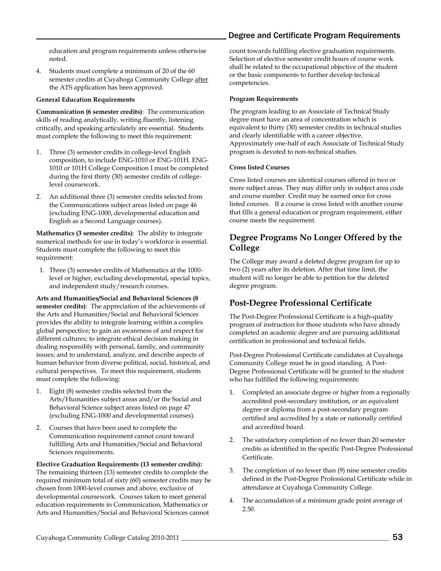education and program requirements unless otherwise noted.

4. Students must complete a minimum of 20 of the 60 semester credits at Cuyahoga Community College after the ATS application has been approved.

### **General Education Requirements**

**Communication (6 semester credits)**: The communication skills of reading analytically, writing fluently, listening critically, and speaking articulately are essential. Students must complete the following to meet this requirement:

- 1. Three (3) semester credits in college-level English composition, to include ENG-1010 or ENG-101H. ENG-1010 or 101H College Composition I must be completed during the first thirty (30) semester credits of collegelevel coursework.
- 2. An additional three (3) semester credits selected from the Communications subject areas listed on page 46 (excluding ENG-1000, developmental education and English as a Second Language courses).

**Mathematics (3 semester credits)**: The ability to integrate numerical methods for use in today's workforce is essential. Students must complete the following to meet this requirement:

1. Three (3) semester credits of Mathematics at the 1000 level or higher, excluding developmental, special topics, and independent study/research courses.

**Arts and Humanities/Social and Behavioral Sciences (8 semester credits)**: The appreciation of the achievements of the Arts and Humanities/Social and Behavioral Sciences provides the ability to integrate learning within a complex global perspective; to gain an awareness of and respect for different cultures; to integrate ethical decision making in dealing responsibly with personal, family, and community issues; and to understand, analyze, and describe aspects of human behavior from diverse political, social, historical, and cultural perspectives. To meet this requirement, students must complete the following:

- 1. Eight (8) semester credits selected from the Arts/Humanities subject areas and/or the Social and Behavioral Science subject areas listed on page 47 (excluding ENG-1000 and developmental courses).
- 2. Courses that have been used to complete the Communication requirement cannot count toward fulfilling Arts and Humanities/Social and Behavioral Sciences requirements.

**Elective Graduation Requirements (13 semester credits):** The remaining thirteen (13) semester credits to complete the required minimum total of sixty (60) semester credits may be chosen from 1000-level courses and above, exclusive of developmental coursework. Courses taken to meet general education requirements in Communication, Mathematics or Arts and Humanities/Social and Behavioral Sciences cannot

count towards fulfilling elective graduation requirements. Selection of elective semester credit hours of course work shall be related to the occupational objective of the student or the basic components to further develop technical competencies.

### **Program Requirements**

The program leading to an Associate of Technical Study degree must have an area of concentration which is equivalent to thirty (30) semester credits in technical studies and clearly identifiable with a career objective. Approximately one-half of each Associate of Technical Study program is devoted to non-technical studies.

### **Cross listed Courses**

Cross listed courses are identical courses offered in two or more subject areas. They may differ only in subject area code and course number. Credit may be earned once for cross listed courses. If a course is cross listed with another course that fills a general education or program requirement, either course meets the requirement.

### <span id="page-8-0"></span>**Degree Programs No Longer Offered by the College**

The College may award a deleted degree program for up to two (2) years after its deletion. After that time limit, the student will no longer be able to petition for the deleted degree program.

### <span id="page-8-1"></span>**Post-Degree Professional Certificate**

The Post-Degree Professional Certificate is a high-quality program of instruction for those students who have already completed an academic degree and are pursuing additional certification in professional and technical fields.

Post-Degree Professional Certificate candidates at Cuyahoga Community College must be in good standing. A Post-Degree Professional Certificate will be granted to the student who has fulfilled the following requirements:

- 1. Completed an associate degree or higher from a regionally accredited post-secondary institution, or an equivalent degree or diploma from a post-secondary program certified and accredited by a state or nationally certified and accredited board.
- 2. The satisfactory completion of no fewer than 20 semester credits as identified in the specific Post-Degree Professional Certificate.
- 3. The completion of no fewer than (9) nine semester credits defined in the Post-Degree Professional Certificate while in attendance at Cuyahoga Community College.
- 4. The accumulation of a minimum grade point average of 2.50.